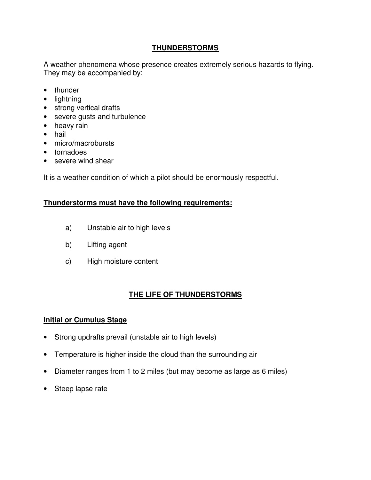# **THUNDERSTORMS**

A weather phenomena whose presence creates extremely serious hazards to flying. They may be accompanied by:

- thunder
- lightning
- strong vertical drafts
- severe gusts and turbulence
- heavy rain
- hail
- micro/macrobursts
- tornadoes
- severe wind shear

It is a weather condition of which a pilot should be enormously respectful.

### **Thunderstorms must have the following requirements:**

- a) Unstable air to high levels
- b) Lifting agent
- c) High moisture content

# **THE LIFE OF THUNDERSTORMS**

### **Initial or Cumulus Stage**

- Strong updrafts prevail (unstable air to high levels)
- Temperature is higher inside the cloud than the surrounding air
- Diameter ranges from 1 to 2 miles (but may become as large as 6 miles)
- Steep lapse rate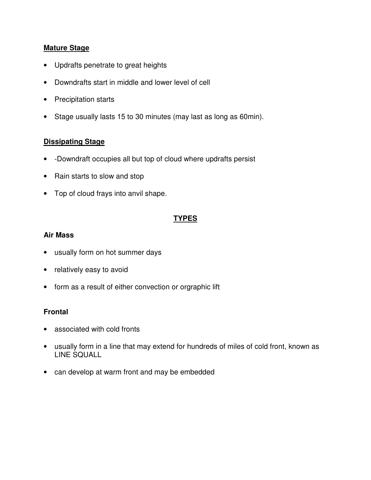### **Mature Stage**

- Updrafts penetrate to great heights
- Downdrafts start in middle and lower level of cell
- Precipitation starts
- Stage usually lasts 15 to 30 minutes (may last as long as 60min).

#### **Dissipating Stage**

- -Downdraft occupies all but top of cloud where updrafts persist
- Rain starts to slow and stop
- Top of cloud frays into anvil shape.

# **TYPES**

#### **Air Mass**

- usually form on hot summer days
- relatively easy to avoid
- form as a result of either convection or orgraphic lift

#### **Frontal**

- associated with cold fronts
- usually form in a line that may extend for hundreds of miles of cold front, known as LINE SQUALL
- can develop at warm front and may be embedded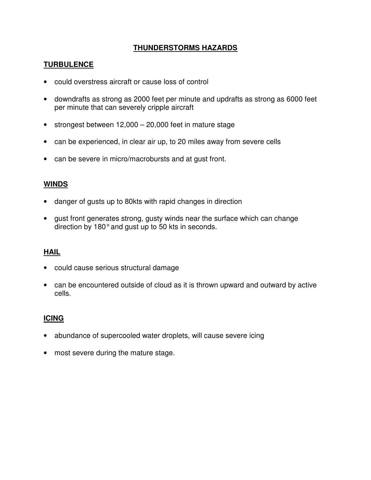## **THUNDERSTORMS HAZARDS**

# **TURBULENCE**

- could overstress aircraft or cause loss of control
- downdrafts as strong as 2000 feet per minute and updrafts as strong as 6000 feet per minute that can severely cripple aircraft
- strongest between 12,000 20,000 feet in mature stage
- can be experienced, in clear air up, to 20 miles away from severe cells
- can be severe in micro/macrobursts and at gust front.

## **WINDS**

- danger of gusts up to 80kts with rapid changes in direction
- gust front generates strong, gusty winds near the surface which can change direction by 180° and gust up to 50 kts in seconds.

### **HAIL**

- could cause serious structural damage
- can be encountered outside of cloud as it is thrown upward and outward by active cells.

### **ICING**

- abundance of supercooled water droplets, will cause severe icing
- most severe during the mature stage.